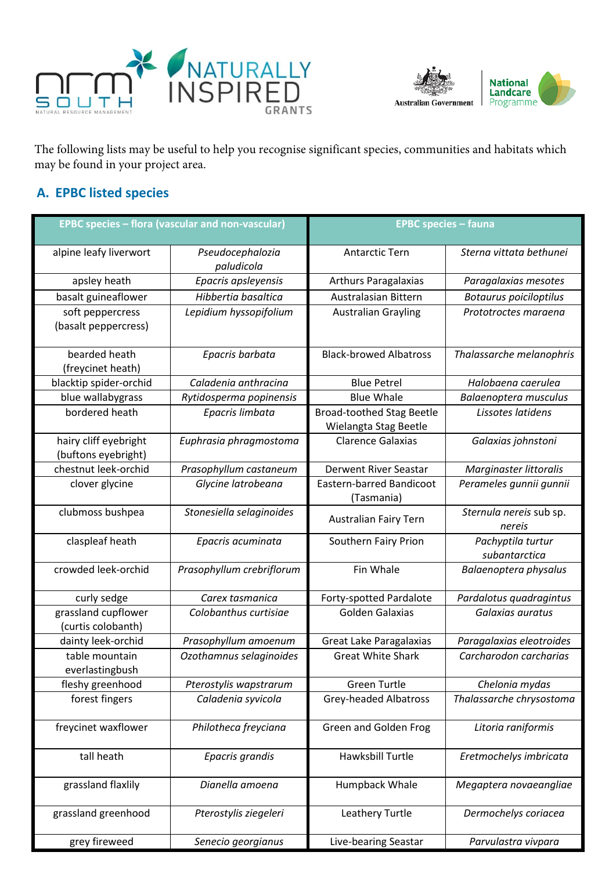



The following lists may be useful to help you recognise significant species, communities and habitats which may be found in your project area.

## **A. EPBC listed species**

| <b>EPBC species - flora (vascular and non-vascular)</b> |                                | <b>EPBC species - fauna</b>                               |                                    |
|---------------------------------------------------------|--------------------------------|-----------------------------------------------------------|------------------------------------|
| alpine leafy liverwort                                  | Pseudocephalozia<br>paludicola | <b>Antarctic Tern</b>                                     | Sterna vittata bethunei            |
| apsley heath                                            | Epacris apsleyensis            | <b>Arthurs Paragalaxias</b>                               | Paragalaxias mesotes               |
| basalt guineaflower                                     | Hibbertia basaltica            | Australasian Bittern                                      | <b>Botaurus poiciloptilus</b>      |
| soft peppercress<br>(basalt peppercress)                | Lepidium hyssopifolium         | <b>Australian Grayling</b>                                | Prototroctes maraena               |
| bearded heath<br>(freycinet heath)                      | Epacris barbata                | <b>Black-browed Albatross</b>                             | Thalassarche melanophris           |
| blacktip spider-orchid                                  | Caladenia anthracina           | <b>Blue Petrel</b>                                        | Halobaena caerulea                 |
| blue wallabygrass                                       | Rytidosperma popinensis        | <b>Blue Whale</b>                                         | Balaenoptera musculus              |
| bordered heath                                          | Epacris limbata                | <b>Broad-toothed Stag Beetle</b><br>Wielangta Stag Beetle | Lissotes latidens                  |
| hairy cliff eyebright<br>(buftons eyebright)            | Euphrasia phragmostoma         | <b>Clarence Galaxias</b>                                  | Galaxias johnstoni                 |
| chestnut leek-orchid                                    | Prasophyllum castaneum         | <b>Derwent River Seastar</b>                              | Marginaster littoralis             |
| clover glycine                                          | Glycine latrobeana             | <b>Eastern-barred Bandicoot</b><br>(Tasmania)             | Perameles gunnii gunnii            |
| clubmoss bushpea                                        | Stonesiella selaginoides       | <b>Australian Fairy Tern</b>                              | Sternula nereis sub sp.<br>nereis  |
| claspleaf heath                                         | Epacris acuminata              | Southern Fairy Prion                                      | Pachyptila turtur<br>subantarctica |
| crowded leek-orchid                                     | Prasophyllum crebriflorum      | Fin Whale                                                 | Balaenoptera physalus              |
| curly sedge                                             | Carex tasmanica                | Forty-spotted Pardalote                                   | Pardalotus quadragintus            |
| grassland cupflower<br>(curtis colobanth)               | Colobanthus curtisiae          | Golden Galaxias                                           | Galaxias auratus                   |
| dainty leek-orchid                                      | Prasophyllum amoenum           | Great Lake Paragalaxias                                   | Paragalaxias eleotroides           |
| table mountain<br>everlastingbush                       | Ozothamnus selaginoides        | <b>Great White Shark</b>                                  | Carcharodon carcharias             |
| fleshy greenhood                                        | Pterostylis wapstrarum         | <b>Green Turtle</b>                                       | Chelonia mydas                     |
| forest fingers                                          | Caladenia syvicola             | <b>Grey-headed Albatross</b>                              | Thalassarche chrysostoma           |
| freycinet waxflower                                     | Philotheca freyciana           | Green and Golden Frog                                     | Litoria raniformis                 |
| tall heath                                              | Epacris grandis                | Hawksbill Turtle                                          | Eretmochelys imbricata             |
| grassland flaxlily                                      | Dianella amoena                | Humpback Whale                                            | Megaptera novaeangliae             |
| grassland greenhood                                     | Pterostylis ziegeleri          | Leathery Turtle                                           | Dermochelys coriacea               |
| grey fireweed                                           | Senecio georgianus             | Live-bearing Seastar                                      | Parvulastra vivpara                |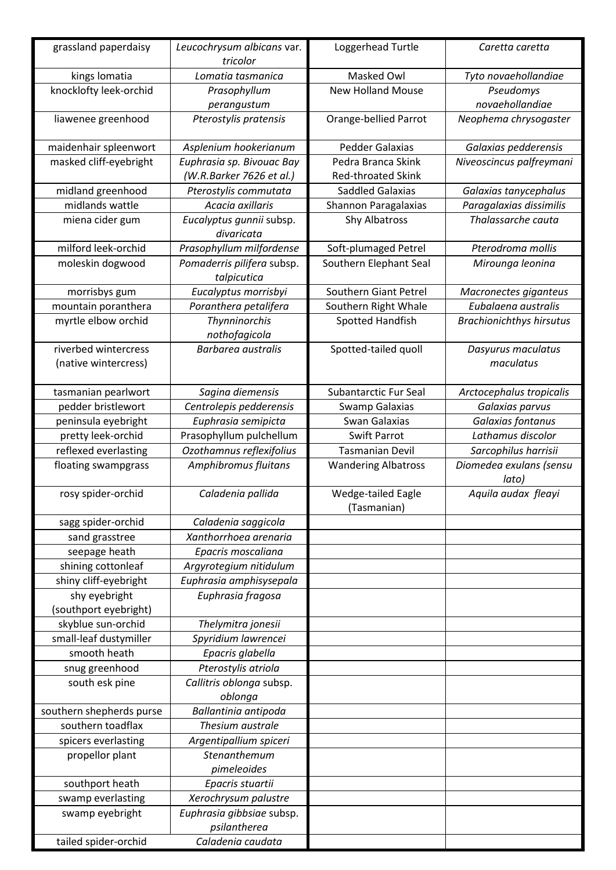| grassland paperdaisy     | Leucochrysum albicans var.<br>tricolor    | Loggerhead Turtle                 | Caretta caretta                  |
|--------------------------|-------------------------------------------|-----------------------------------|----------------------------------|
| kings lomatia            | Lomatia tasmanica                         | Masked Owl                        | Tyto novaehollandiae             |
| knocklofty leek-orchid   | Prasophyllum                              | <b>New Holland Mouse</b>          | Pseudomys                        |
|                          | perangustum                               |                                   | novaehollandiae                  |
| liawenee greenhood       | Pterostylis pratensis                     | Orange-bellied Parrot             | Neophema chrysogaster            |
| maidenhair spleenwort    | Asplenium hookerianum                     | Pedder Galaxias                   | Galaxias pedderensis             |
| masked cliff-eyebright   | Euphrasia sp. Bivouac Bay                 | Pedra Branca Skink                | Niveoscincus palfreymani         |
|                          | (W.R.Barker 7626 et al.)                  | <b>Red-throated Skink</b>         |                                  |
| midland greenhood        | Pterostylis commutata                     | <b>Saddled Galaxias</b>           | Galaxias tanycephalus            |
| midlands wattle          | Acacia axillaris                          | Shannon Paragalaxias              | Paragalaxias dissimilis          |
| miena cider gum          | Eucalyptus gunnii subsp.<br>divaricata    | <b>Shy Albatross</b>              | Thalassarche cauta               |
| milford leek-orchid      | Prasophyllum milfordense                  | Soft-plumaged Petrel              | Pterodroma mollis                |
| moleskin dogwood         | Pomaderris pilifera subsp.<br>talpicutica | Southern Elephant Seal            | Mirounga leonina                 |
| morrisbys gum            | Eucalyptus morrisbyi                      | Southern Giant Petrel             | Macronectes giganteus            |
| mountain poranthera      | Poranthera petalifera                     | Southern Right Whale              | Eubalaena australis              |
| myrtle elbow orchid      | Thynninorchis<br>nothofagicola            | <b>Spotted Handfish</b>           | <b>Brachionichthys hirsutus</b>  |
| riverbed wintercress     | <b>Barbarea australis</b>                 | Spotted-tailed quoll              | Dasyurus maculatus               |
| (native wintercress)     |                                           |                                   | maculatus                        |
| tasmanian pearlwort      | Sagina diemensis                          | Subantarctic Fur Seal             | Arctocephalus tropicalis         |
| pedder bristlewort       | Centrolepis pedderensis                   | Swamp Galaxias                    | Galaxias parvus                  |
| peninsula eyebright      | Euphrasia semipicta                       | Swan Galaxias                     | Galaxias fontanus                |
| pretty leek-orchid       | Prasophyllum pulchellum                   | <b>Swift Parrot</b>               | Lathamus discolor                |
| reflexed everlasting     | Ozothamnus reflexifolius                  | <b>Tasmanian Devil</b>            | Sarcophilus harrisii             |
| floating swampgrass      | Amphibromus fluitans                      | <b>Wandering Albatross</b>        | Diomedea exulans (sensu<br>lato) |
| rosy spider-orchid       | Caladenia pallida                         | Wedge-tailed Eagle<br>(Tasmanian) | Aquila audax fleayi              |
| sagg spider-orchid       | Caladenia saggicola                       |                                   |                                  |
| sand grasstree           | Xanthorrhoea arenaria                     |                                   |                                  |
| seepage heath            | Epacris moscaliana                        |                                   |                                  |
| shining cottonleaf       | Argyrotegium nitidulum                    |                                   |                                  |
| shiny cliff-eyebright    | Euphrasia amphisysepala                   |                                   |                                  |
| shy eyebright            | Euphrasia fragosa                         |                                   |                                  |
| (southport eyebright)    |                                           |                                   |                                  |
| skyblue sun-orchid       | Thelymitra jonesii                        |                                   |                                  |
| small-leaf dustymiller   | Spyridium lawrencei                       |                                   |                                  |
| smooth heath             | Epacris glabella                          |                                   |                                  |
| snug greenhood           | Pterostylis atriola                       |                                   |                                  |
| south esk pine           | Callitris oblonga subsp.<br>oblonga       |                                   |                                  |
| southern shepherds purse | Ballantinia antipoda                      |                                   |                                  |
| southern toadflax        | Thesium australe                          |                                   |                                  |
| spicers everlasting      | Argentipallium spiceri                    |                                   |                                  |
| propellor plant          | Stenanthemum                              |                                   |                                  |
|                          | pimeleoides                               |                                   |                                  |
| southport heath          | Epacris stuartii                          |                                   |                                  |
| swamp everlasting        | Xerochrysum palustre                      |                                   |                                  |
| swamp eyebright          | Euphrasia gibbsiae subsp.                 |                                   |                                  |
|                          | psilantherea                              |                                   |                                  |
| tailed spider-orchid     | Caladenia caudata                         |                                   |                                  |